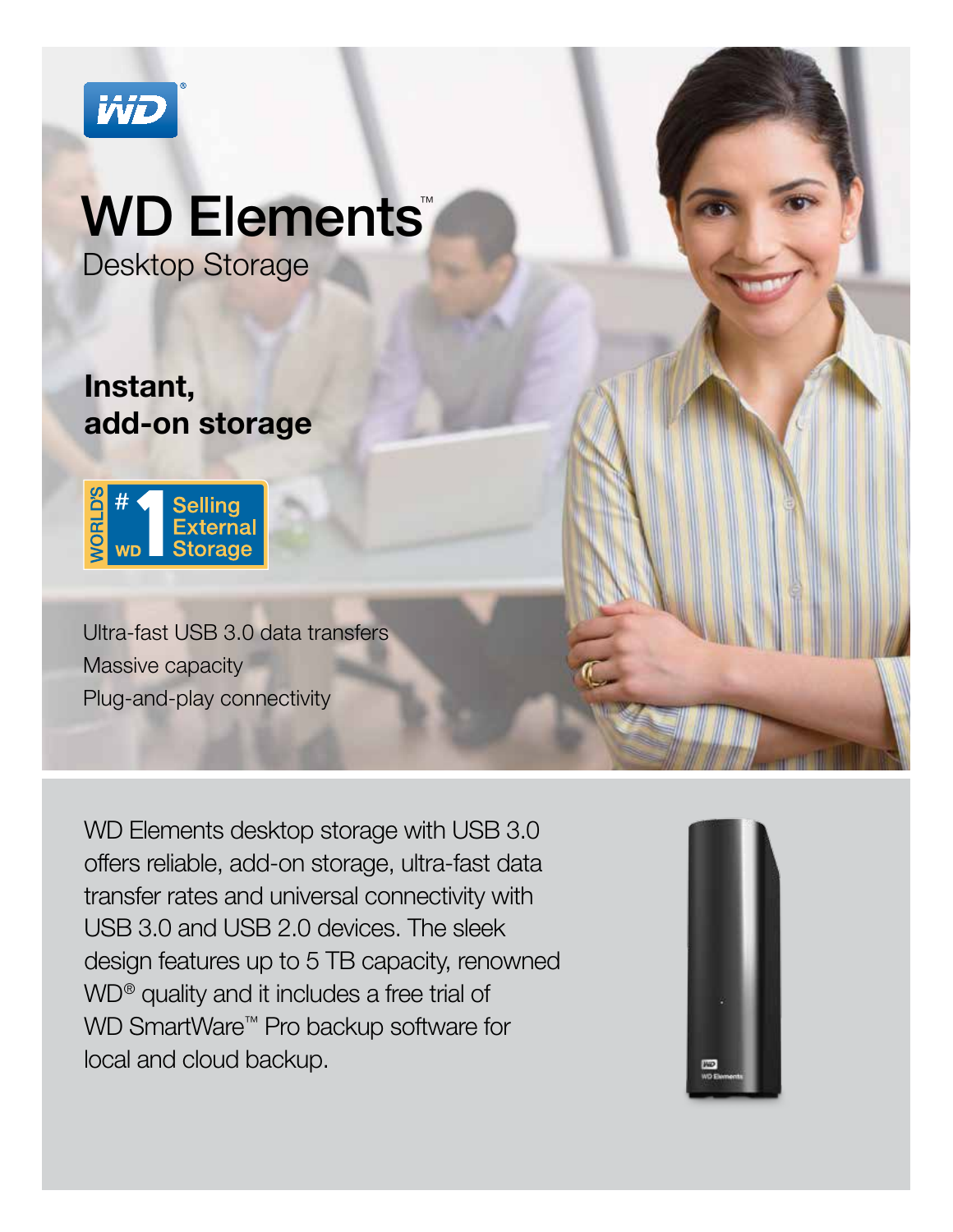

# WD Elements

Desktop Storage

# Instant, add-on storage



Ultra-fast USB 3.0 data transfers Massive capacity Plug-and-play connectivity

WD Elements desktop storage with USB 3.0 offers reliable, add-on storage, ultra-fast data transfer rates and universal connectivity with USB 3.0 and USB 2.0 devices. The sleek design features up to 5 TB capacity, renowned WD® quality and it includes a free trial of WD SmartWare<sup>™</sup> Pro backup software for local and cloud backup.